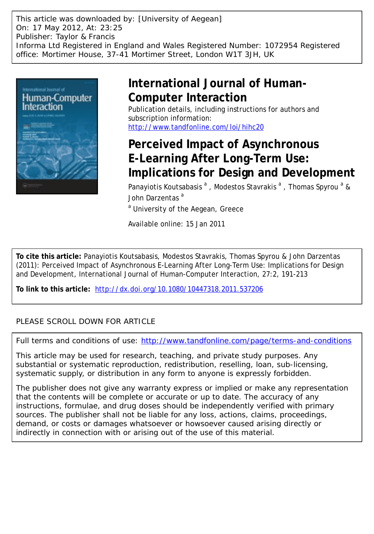This article was downloaded by: [University of Aegean] On: 17 May 2012, At: 23:25 Publisher: Taylor & Francis Informa Ltd Registered in England and Wales Registered Number: 1072954 Registered office: Mortimer House, 37-41 Mortimer Street, London W1T 3JH, UK



## **International Journal of Human-Computer Interaction**

Publication details, including instructions for authors and subscription information: <http://www.tandfonline.com/loi/hihc20>

# **Perceived Impact of Asynchronous E-Learning After Long-Term Use: Implications for Design and Development**

Panayiotis Koutsabasis<sup>a</sup>, Modestos Stavrakis<sup>a</sup>, Thomas Spyrou<sup>a</sup> & John Darzentas<sup>a</sup>

<sup>a</sup> University of the Aegean, Greece

Available online: 15 Jan 2011

**To cite this article:** Panayiotis Koutsabasis, Modestos Stavrakis, Thomas Spyrou & John Darzentas (2011): Perceived Impact of Asynchronous E-Learning After Long-Term Use: Implications for Design and Development, International Journal of Human-Computer Interaction, 27:2, 191-213

**To link to this article:** <http://dx.doi.org/10.1080/10447318.2011.537206>

### PLEASE SCROLL DOWN FOR ARTICLE

Full terms and conditions of use:<http://www.tandfonline.com/page/terms-and-conditions>

This article may be used for research, teaching, and private study purposes. Any substantial or systematic reproduction, redistribution, reselling, loan, sub-licensing, systematic supply, or distribution in any form to anyone is expressly forbidden.

The publisher does not give any warranty express or implied or make any representation that the contents will be complete or accurate or up to date. The accuracy of any instructions, formulae, and drug doses should be independently verified with primary sources. The publisher shall not be liable for any loss, actions, claims, proceedings, demand, or costs or damages whatsoever or howsoever caused arising directly or indirectly in connection with or arising out of the use of this material.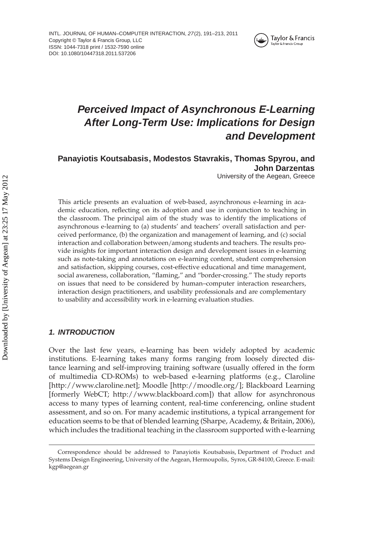

## *Perceived Impact of Asynchronous E-Learning After Long-Term Use: Implications for Design and Development*

**Panayiotis Koutsabasis, Modestos Stavrakis, Thomas Spyrou, and John Darzentas**

University of the Aegean, Greece

This article presents an evaluation of web-based, asynchronous e-learning in academic education, reflecting on its adoption and use in conjunction to teaching in the classroom. The principal aim of the study was to identify the implications of asynchronous e-learning to (a) students' and teachers' overall satisfaction and perceived performance, (b) the organization and management of learning, and (c) social interaction and collaboration between*/*among students and teachers. The results provide insights for important interaction design and development issues in e-learning such as note-taking and annotations on e-learning content, student comprehension and satisfaction, skipping courses, cost-effective educational and time management, social awareness, collaboration, "flaming," and "border-crossing." The study reports on issues that need to be considered by human–computer interaction researchers, interaction design practitioners, and usability professionals and are complementary to usability and accessibility work in e-learning evaluation studies.

#### *1. INTRODUCTION*

Over the last few years, e-learning has been widely adopted by academic institutions. E-learning takes many forms ranging from loosely directed distance learning and self-improving training software (usually offered in the form of multimedia CD-ROMs) to web-based e-learning platforms (e.g., Claroline [http://www.claroline.net]; Moodle [http://moodle.org/]; Blackboard Learning [formerly WebCT; http://www.blackboard.com]) that allow for asynchronous access to many types of learning content, real-time conferencing, online student assessment, and so on. For many academic institutions, a typical arrangement for education seems to be that of blended learning (Sharpe, Academy, & Britain, 2006), which includes the traditional teaching in the classroom supported with e-learning

Correspondence should be addressed to Panayiotis Koutsabasis, Department of Product and Systems Design Engineering, University of the Aegean, Hermoupolis, Syros, GR-84100, Greece. E-mail: kgp@aegean.gr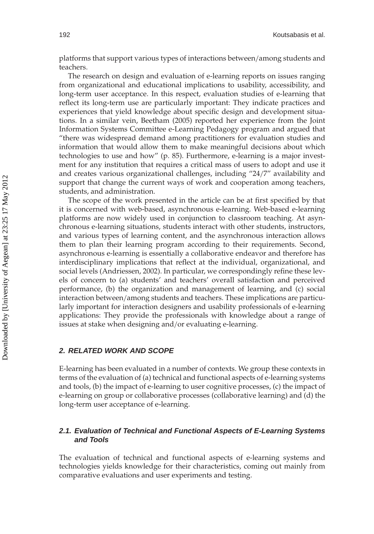platforms that support various types of interactions between*/*among students and teachers.

The research on design and evaluation of e-learning reports on issues ranging from organizational and educational implications to usability, accessibility, and long-term user acceptance. In this respect, evaluation studies of e-learning that reflect its long-term use are particularly important: They indicate practices and experiences that yield knowledge about specific design and development situations. In a similar vein, Beetham (2005) reported her experience from the Joint Information Systems Committee e-Learning Pedagogy program and argued that "there was widespread demand among practitioners for evaluation studies and information that would allow them to make meaningful decisions about which technologies to use and how" (p. 85). Furthermore, e-learning is a major investment for any institution that requires a critical mass of users to adopt and use it and creates various organizational challenges, including "24*/*7" availability and support that change the current ways of work and cooperation among teachers, students, and administration.

The scope of the work presented in the article can be at first specified by that it is concerned with web-based, asynchronous e-learning. Web-based e-learning platforms are now widely used in conjunction to classroom teaching. At asynchronous e-learning situations, students interact with other students, instructors, and various types of learning content, and the asynchronous interaction allows them to plan their learning program according to their requirements. Second, asynchronous e-learning is essentially a collaborative endeavor and therefore has interdisciplinary implications that reflect at the individual, organizational, and social levels (Andriessen, 2002). In particular, we correspondingly refine these levels of concern to (a) students' and teachers' overall satisfaction and perceived performance, (b) the organization and management of learning, and (c) social interaction between*/*among students and teachers. These implications are particularly important for interaction designers and usability professionals of e-learning applications: They provide the professionals with knowledge about a range of issues at stake when designing and*/*or evaluating e-learning.

#### *2. RELATED WORK AND SCOPE*

E-learning has been evaluated in a number of contexts. We group these contexts in terms of the evaluation of (a) technical and functional aspects of e-learning systems and tools, (b) the impact of e-learning to user cognitive processes, (c) the impact of e-learning on group or collaborative processes (collaborative learning) and (d) the long-term user acceptance of e-learning.

#### *2.1. Evaluation of Technical and Functional Aspects of E-Learning Systems and Tools*

The evaluation of technical and functional aspects of e-learning systems and technologies yields knowledge for their characteristics, coming out mainly from comparative evaluations and user experiments and testing.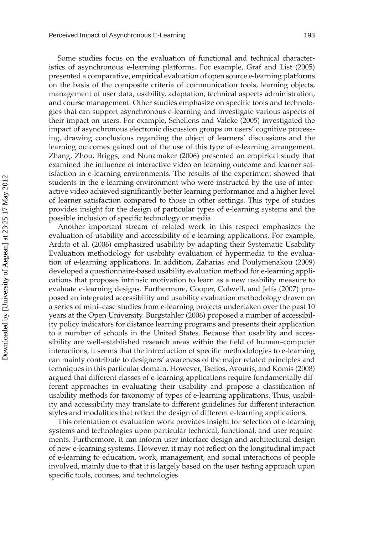Some studies focus on the evaluation of functional and technical characteristics of asynchronous e-learning platforms. For example, Graf and List (2005) presented a comparative, empirical evaluation of open source e-learning platforms on the basis of the composite criteria of communication tools, learning objects, management of user data, usability, adaptation, technical aspects administration, and course management. Other studies emphasize on specific tools and technologies that can support asynchronous e-learning and investigate various aspects of their impact on users. For example, Schellens and Valcke (2005) investigated the impact of asynchronous electronic discussion groups on users' cognitive processing, drawing conclusions regarding the object of learners' discussions and the learning outcomes gained out of the use of this type of e-learning arrangement. Zhang, Zhou, Briggs, and Nunamaker (2006) presented an empirical study that examined the influence of interactive video on learning outcome and learner satisfaction in e-learning environments. The results of the experiment showed that students in the e-learning environment who were instructed by the use of interactive video achieved significantly better learning performance and a higher level of learner satisfaction compared to those in other settings. This type of studies provides insight for the design of particular types of e-learning systems and the possible inclusion of specific technology or media.

Another important stream of related work in this respect emphasizes the evaluation of usability and accessibility of e-learning applications. For example, Ardito et al. (2006) emphasized usability by adapting their Systematic Usability Evaluation methodology for usability evaluation of hypermedia to the evaluation of e-learning applications. In addition, Zaharias and Poulymenakou (2009) developed a questionnaire-based usability evaluation method for e-learning applications that proposes intrinsic motivation to learn as a new usability measure to evaluate e-learning designs. Furthermore, Cooper, Colwell, and Jelfs (2007) proposed an integrated accessibility and usability evaluation methodology drawn on a series of mini–case studies from e-learning projects undertaken over the past 10 years at the Open University. Burgstahler (2006) proposed a number of accessibility policy indicators for distance learning programs and presents their application to a number of schools in the United States. Because that usability and accessibility are well-established research areas within the field of human–computer interactions, it seems that the introduction of specific methodologies to e-learning can mainly contribute to designers' awareness of the major related principles and techniques in this particular domain. However, Tselios, Avouris, and Komis (2008) argued that different classes of e-learning applications require fundamentally different approaches in evaluating their usability and propose a classification of usability methods for taxonomy of types of e-learning applications. Thus, usability and accessibility may translate to different guidelines for different interaction styles and modalities that reflect the design of different e-learning applications.

This orientation of evaluation work provides insight for selection of e-learning systems and technologies upon particular technical, functional, and user requirements. Furthermore, it can inform user interface design and architectural design of new e-learning systems. However, it may not reflect on the longitudinal impact of e-learning to education, work, management, and social interactions of people involved, mainly due to that it is largely based on the user testing approach upon specific tools, courses, and technologies.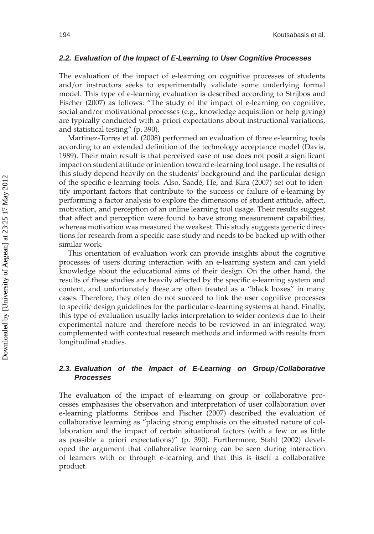#### *2.2. Evaluation of the Impact of E-Learning to User Cognitive Processes*

The evaluation of the impact of e-learning on cognitive processes of students and*/*or instructors seeks to experimentally validate some underlying formal model. This type of e-learning evaluation is described according to Strijbos and Fischer (2007) as follows: "The study of the impact of e-learning on cognitive, social and*/*or motivational processes (e.g., knowledge acquisition or help giving) are typically conducted with a-priori expectations about instructional variations, and statistical testing" (p. 390).

Martinez-Torres et al. (2008) performed an evaluation of three e-learning tools according to an extended definition of the technology acceptance model (Davis, 1989). Their main result is that perceived ease of use does not posit a significant impact on student attitude or intention toward e-learning tool usage. The results of this study depend heavily on the students' background and the particular design of the specific e-learning tools. Also, Saadé, He, and Kira (2007) set out to identify important factors that contribute to the success or failure of e-learning by performing a factor analysis to explore the dimensions of student attitude, affect, motivation, and perception of an online learning tool usage. Their results suggest that affect and perception were found to have strong measurement capabilities, whereas motivation was measured the weakest. This study suggests generic directions for research from a specific case study and needs to be backed up with other similar work.

This orientation of evaluation work can provide insights about the cognitive processes of users during interaction with an e-learning system and can yield knowledge about the educational aims of their design. On the other hand, the results of these studies are heavily affected by the specific e-learning system and content, and unfortunately these are often treated as a "black boxes" in many cases. Therefore, they often do not succeed to link the user cognitive processes to specific design guidelines for the particular e-learning systems at hand. Finally, this type of evaluation usually lacks interpretation to wider contexts due to their experimental nature and therefore needs to be reviewed in an integrated way, complemented with contextual research methods and informed with results from longitudinal studies.

#### *2.3. Evaluation of the Impact of E-Learning on Group/Collaborative Processes*

The evaluation of the impact of e-learning on group or collaborative processes emphasises the observation and interpretation of user collaboration over e-learning platforms. Strijbos and Fischer (2007) described the evaluation of collaborative learning as "placing strong emphasis on the situated nature of collaboration and the impact of certain situational factors (with a few or as little as possible a priori expectations)" (p. 390). Furthermore, Stahl (2002) developed the argument that collaborative learning can be seen during interaction of learners with or through e-learning and that this is itself a collaborative product.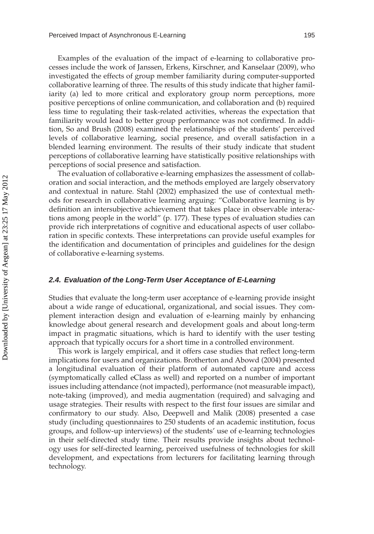Examples of the evaluation of the impact of e-learning to collaborative processes include the work of Janssen, Erkens, Kirschner, and Kanselaar (2009), who investigated the effects of group member familiarity during computer-supported collaborative learning of three. The results of this study indicate that higher familiarity (a) led to more critical and exploratory group norm perceptions, more positive perceptions of online communication, and collaboration and (b) required less time to regulating their task-related activities, whereas the expectation that familiarity would lead to better group performance was not confirmed. In addition, So and Brush (2008) examined the relationships of the students' perceived levels of collaborative learning, social presence, and overall satisfaction in a blended learning environment. The results of their study indicate that student perceptions of collaborative learning have statistically positive relationships with perceptions of social presence and satisfaction.

The evaluation of collaborative e-learning emphasizes the assessment of collaboration and social interaction, and the methods employed are largely observatory and contextual in nature. Stahl (2002) emphasized the use of contextual methods for research in collaborative learning arguing: "Collaborative learning is by definition an intersubjective achievement that takes place in observable interactions among people in the world" (p. 177). These types of evaluation studies can provide rich interpretations of cognitive and educational aspects of user collaboration in specific contexts. These interpretations can provide useful examples for the identification and documentation of principles and guidelines for the design of collaborative e-learning systems.

#### *2.4. Evaluation of the Long-Term User Acceptance of E-Learning*

Studies that evaluate the long-term user acceptance of e-learning provide insight about a wide range of educational, organizational, and social issues. They complement interaction design and evaluation of e-learning mainly by enhancing knowledge about general research and development goals and about long-term impact in pragmatic situations, which is hard to identify with the user testing approach that typically occurs for a short time in a controlled environment.

This work is largely empirical, and it offers case studies that reflect long-term implications for users and organizations. Brotherton and Abowd (2004) presented a longitudinal evaluation of their platform of automated capture and access (symptomatically called eClass as well) and reported on a number of important issues including attendance (not impacted), performance (not measurable impact), note-taking (improved), and media augmentation (required) and salvaging and usage strategies. Their results with respect to the first four issues are similar and confirmatory to our study. Also, Deepwell and Malik (2008) presented a case study (including questionnaires to 250 students of an academic institution, focus groups, and follow-up interviews) of the students' use of e-learning technologies in their self-directed study time. Their results provide insights about technology uses for self-directed learning, perceived usefulness of technologies for skill development, and expectations from lecturers for facilitating learning through technology.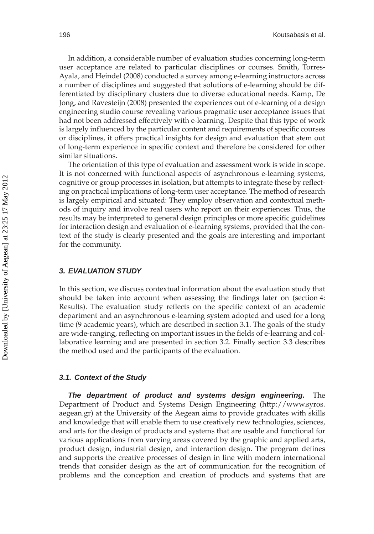In addition, a considerable number of evaluation studies concerning long-term user acceptance are related to particular disciplines or courses. Smith, Torres-Ayala, and Heindel (2008) conducted a survey among e-learning instructors across a number of disciplines and suggested that solutions of e-learning should be differentiated by disciplinary clusters due to diverse educational needs. Kamp, De Jong, and Ravesteijn (2008) presented the experiences out of e-learning of a design engineering studio course revealing various pragmatic user acceptance issues that had not been addressed effectively with e-learning. Despite that this type of work is largely influenced by the particular content and requirements of specific courses or disciplines, it offers practical insights for design and evaluation that stem out of long-term experience in specific context and therefore be considered for other similar situations.

The orientation of this type of evaluation and assessment work is wide in scope. It is not concerned with functional aspects of asynchronous e-learning systems, cognitive or group processes in isolation, but attempts to integrate these by reflecting on practical implications of long-term user acceptance. The method of research is largely empirical and situated: They employ observation and contextual methods of inquiry and involve real users who report on their experiences. Thus, the results may be interpreted to general design principles or more specific guidelines for interaction design and evaluation of e-learning systems, provided that the context of the study is clearly presented and the goals are interesting and important for the community.

#### *3. EVALUATION STUDY*

In this section, we discuss contextual information about the evaluation study that should be taken into account when assessing the findings later on (section 4: Results). The evaluation study reflects on the specific context of an academic department and an asynchronous e-learning system adopted and used for a long time (9 academic years), which are described in section 3.1. The goals of the study are wide-ranging, reflecting on important issues in the fields of e-learning and collaborative learning and are presented in section 3.2. Finally section 3.3 describes the method used and the participants of the evaluation.

#### *3.1. Context of the Study*

*The department of product and systems design engineering.* The Department of Product and Systems Design Engineering (http://www.syros. aegean.gr) at the University of the Aegean aims to provide graduates with skills and knowledge that will enable them to use creatively new technologies, sciences, and arts for the design of products and systems that are usable and functional for various applications from varying areas covered by the graphic and applied arts, product design, industrial design, and interaction design. The program defines and supports the creative processes of design in line with modern international trends that consider design as the art of communication for the recognition of problems and the conception and creation of products and systems that are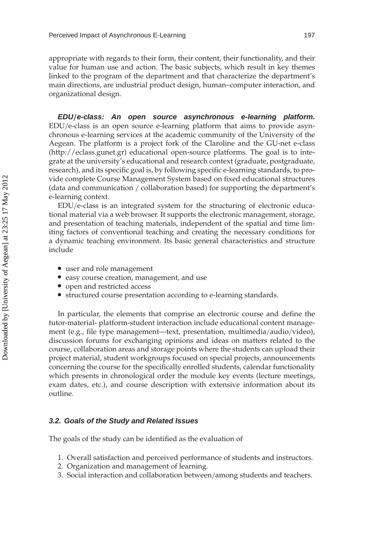appropriate with regards to their form, their content, their functionality, and their value for human use and action. The basic subjects, which result in key themes linked to the program of the department and that characterize the department's main directions, are industrial product design, human–computer interaction, and organizational design.

*EDU/e-class: An open source asynchronous e-learning platform.* EDU*/*e-class is an open source e-learning platform that aims to provide asynchronous e-learning services at the academic community of the University of the Aegean. The platform is a project fork of the Claroline and the GU-net e-class (http://eclass.gunet.gr) educational open-source platforms. The goal is to integrate at the university's educational and research context (graduate, postgraduate, research), and its specific goal is, by following specific e-learning standards, to provide complete Course Management System based on fixed educational structures (data and communication */* collaboration based) for supporting the department's e-learning context.

EDU*/*e-class is an integrated system for the structuring of electronic educational material via a web browser. It supports the electronic management, storage, and presentation of teaching materials, independent of the spatial and time limiting factors of conventional teaching and creating the necessary conditions for a dynamic teaching environment. Its basic general characteristics and structure include

- user and role management
- easy course creation, management, and use
- open and restricted access
- structured course presentation according to e-learning standards.

In particular, the elements that comprise an electronic course and define the tutor-material- platform-student interaction include educational content management (e.g., file type management—text, presentation, multimedia*/*audio*/*video), discussion forums for exchanging opinions and ideas on matters related to the course, collaboration areas and storage points where the students can upload their project material, student workgroups focused on special projects, announcements concerning the course for the specifically enrolled students, calendar functionality which presents in chronological order the module key events (lecture meetings, exam dates, etc.), and course description with extensive information about its outline.

#### *3.2. Goals of the Study and Related Issues*

The goals of the study can be identified as the evaluation of

- 1. Overall satisfaction and perceived performance of students and instructors.
- 2. Organization and management of learning.
- 3. Social interaction and collaboration between*/*among students and teachers.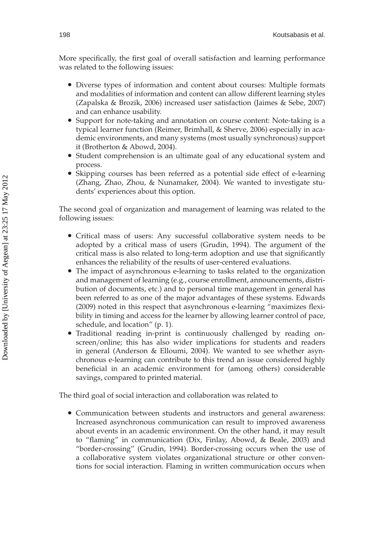More specifically, the first goal of overall satisfaction and learning performance was related to the following issues:

- Diverse types of information and content about courses: Multiple formats and modalities of information and content can allow different learning styles (Zapalska & Brozik, 2006) increased user satisfaction (Jaimes & Sebe, 2007) and can enhance usability.
- Support for note-taking and annotation on course content: Note-taking is a typical learner function (Reimer, Brimhall, & Sherve, 2006) especially in academic environments, and many systems (most usually synchronous) support it (Brotherton & Abowd, 2004).
- Student comprehension is an ultimate goal of any educational system and process.
- Skipping courses has been referred as a potential side effect of e-learning (Zhang, Zhao, Zhou, & Nunamaker, 2004). We wanted to investigate students' experiences about this option.

The second goal of organization and management of learning was related to the following issues:

- Critical mass of users: Any successful collaborative system needs to be adopted by a critical mass of users (Grudin, 1994). The argument of the critical mass is also related to long-term adoption and use that significantly enhances the reliability of the results of user-centered evaluations.
- The impact of asynchronous e-learning to tasks related to the organization and management of learning (e.g., course enrollment, announcements, distribution of documents, etc.) and to personal time management in general has been referred to as one of the major advantages of these systems. Edwards (2009) noted in this respect that asynchronous e-learning "maximizes flexibility in timing and access for the learner by allowing learner control of pace, schedule, and location" (p. 1).
- Traditional reading in-print is continuously challenged by reading onscreen*/*online; this has also wider implications for students and readers in general (Anderson & Elloumi, 2004). We wanted to see whether asynchronous e-learning can contribute to this trend an issue considered highly beneficial in an academic environment for (among others) considerable savings, compared to printed material.

The third goal of social interaction and collaboration was related to

• Communication between students and instructors and general awareness: Increased asynchronous communication can result to improved awareness about events in an academic environment. On the other hand, it may result to "flaming" in communication (Dix, Finlay, Abowd, & Beale, 2003) and "border-crossing" (Grudin, 1994). Border-crossing occurs when the use of a collaborative system violates organizational structure or other conventions for social interaction. Flaming in written communication occurs when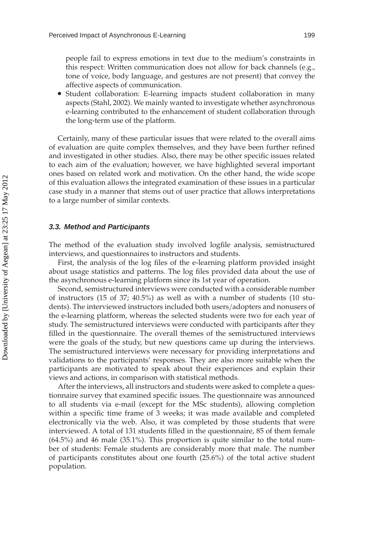people fail to express emotions in text due to the medium's constraints in this respect: Written communication does not allow for back channels (e.g., tone of voice, body language, and gestures are not present) that convey the affective aspects of communication.

● Student collaboration: E-learning impacts student collaboration in many aspects (Stahl, 2002). We mainly wanted to investigate whether asynchronous e-learning contributed to the enhancement of student collaboration through the long-term use of the platform.

Certainly, many of these particular issues that were related to the overall aims of evaluation are quite complex themselves, and they have been further refined and investigated in other studies. Also, there may be other specific issues related to each aim of the evaluation; however, we have highlighted several important ones based on related work and motivation. On the other hand, the wide scope of this evaluation allows the integrated examination of these issues in a particular case study in a manner that stems out of user practice that allows interpretations to a large number of similar contexts.

#### *3.3. Method and Participants*

The method of the evaluation study involved logfile analysis, semistructured interviews, and questionnaires to instructors and students.

First, the analysis of the log files of the e-learning platform provided insight about usage statistics and patterns. The log files provided data about the use of the asynchronous e-learning platform since its 1st year of operation.

Second, semistructured interviews were conducted with a considerable number of instructors (15 of 37; 40.5%) as well as with a number of students (10 students). The interviewed instructors included both users*/*adopters and nonusers of the e-learning platform, whereas the selected students were two for each year of study. The semistructured interviews were conducted with participants after they filled in the questionnaire. The overall themes of the semistructured interviews were the goals of the study, but new questions came up during the interviews. The semistructured interviews were necessary for providing interpretations and validations to the participants' responses. They are also more suitable when the participants are motivated to speak about their experiences and explain their views and actions, in comparison with statistical methods.

After the interviews, all instructors and students were asked to complete a questionnaire survey that examined specific issues. The questionnaire was announced to all students via e-mail (except for the MSc students), allowing completion within a specific time frame of 3 weeks; it was made available and completed electronically via the web. Also, it was completed by those students that were interviewed. A total of 131 students filled in the questionnaire, 85 of them female (64.5%) and 46 male (35.1%). This proportion is quite similar to the total number of students: Female students are considerably more that male. The number of participants constitutes about one fourth (25.6%) of the total active student population.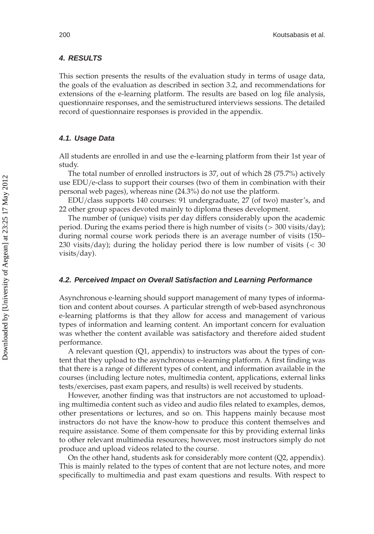#### *4. RESULTS*

This section presents the results of the evaluation study in terms of usage data, the goals of the evaluation as described in section 3.2, and recommendations for extensions of the e-learning platform. The results are based on log file analysis, questionnaire responses, and the semistructured interviews sessions. The detailed record of questionnaire responses is provided in the appendix.

#### *4.1. Usage Data*

All students are enrolled in and use the e-learning platform from their 1st year of study.

The total number of enrolled instructors is 37, out of which 28 (75.7%) actively use EDU*/*e-class to support their courses (two of them in combination with their personal web pages), whereas nine (24.3%) do not use the platform.

EDU*/*class supports 140 courses: 91 undergraduate, 27 (of two) master's, and 22 other group spaces devoted mainly to diploma theses development.

The number of (unique) visits per day differs considerably upon the academic period. During the exams period there is high number of visits (*>* 300 visits*/*day); during normal course work periods there is an average number of visits (150– 230 visits*/*day); during the holiday period there is low number of visits (*<* 30 visits*/*day).

#### *4.2. Perceived Impact on Overall Satisfaction and Learning Performance*

Asynchronous e-learning should support management of many types of information and content about courses. A particular strength of web-based asynchronous e-learning platforms is that they allow for access and management of various types of information and learning content. An important concern for evaluation was whether the content available was satisfactory and therefore aided student performance.

A relevant question (Q1, appendix) to instructors was about the types of content that they upload to the asynchronous e-learning platform. A first finding was that there is a range of different types of content, and information available in the courses (including lecture notes, multimedia content, applications, external links tests*/*exercises, past exam papers, and results) is well received by students.

However, another finding was that instructors are not accustomed to uploading multimedia content such as video and audio files related to examples, demos, other presentations or lectures, and so on. This happens mainly because most instructors do not have the know-how to produce this content themselves and require assistance. Some of them compensate for this by providing external links to other relevant multimedia resources; however, most instructors simply do not produce and upload videos related to the course.

On the other hand, students ask for considerably more content (Q2, appendix). This is mainly related to the types of content that are not lecture notes, and more specifically to multimedia and past exam questions and results. With respect to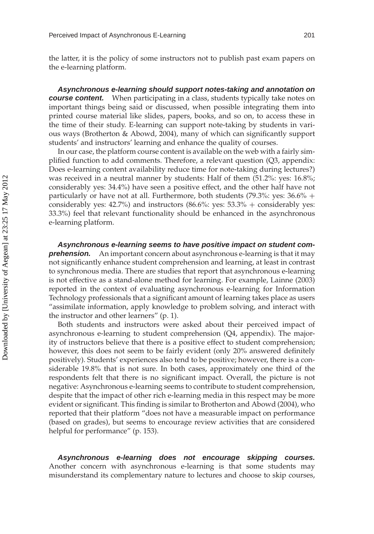the latter, it is the policy of some instructors not to publish past exam papers on the e-learning platform.

*Asynchronous e-learning should support notes-taking and annotation on course content.* When participating in a class, students typically take notes on important things being said or discussed, when possible integrating them into printed course material like slides, papers, books, and so on, to access these in the time of their study. E-learning can support note-taking by students in various ways (Brotherton & Abowd, 2004), many of which can significantly support students' and instructors' learning and enhance the quality of courses.

In our case, the platform course content is available on the web with a fairly simplified function to add comments. Therefore, a relevant question (Q3, appendix: Does e-learning content availability reduce time for note-taking during lectures?) was received in a neutral manner by students: Half of them (51.2%: yes: 16.8%; considerably yes: 34.4%) have seen a positive effect, and the other half have not particularly or have not at all. Furthermore, both students (79.3%: yes: 36.6% + considerably yes:  $42.7\%$ ) and instructors (86.6%: yes:  $53.3\%$  + considerably yes: 33.3%) feel that relevant functionality should be enhanced in the asynchronous e-learning platform.

*Asynchronous e-learning seems to have positive impact on student comprehension.* An important concern about asynchronous e-learning is that it may not significantly enhance student comprehension and learning, at least in contrast to synchronous media. There are studies that report that asynchronous e-learning is not effective as a stand-alone method for learning. For example, Lainne (2003) reported in the context of evaluating asynchronous e-learning for Information Technology professionals that a significant amount of learning takes place as users "assimilate information, apply knowledge to problem solving, and interact with the instructor and other learners" (p. 1).

Both students and instructors were asked about their perceived impact of asynchronous e-learning to student comprehension (Q4, appendix). The majority of instructors believe that there is a positive effect to student comprehension; however, this does not seem to be fairly evident (only 20% answered definitely positively). Students' experiences also tend to be positive; however, there is a considerable 19.8% that is not sure. In both cases, approximately one third of the respondents felt that there is no significant impact. Overall, the picture is not negative: Asynchronous e-learning seems to contribute to student comprehension, despite that the impact of other rich e-learning media in this respect may be more evident or significant. This finding is similar to Brotherton and Abowd (2004), who reported that their platform "does not have a measurable impact on performance (based on grades), but seems to encourage review activities that are considered helpful for performance" (p. 153).

*Asynchronous e-learning does not encourage skipping courses.* Another concern with asynchronous e-learning is that some students may misunderstand its complementary nature to lectures and choose to skip courses,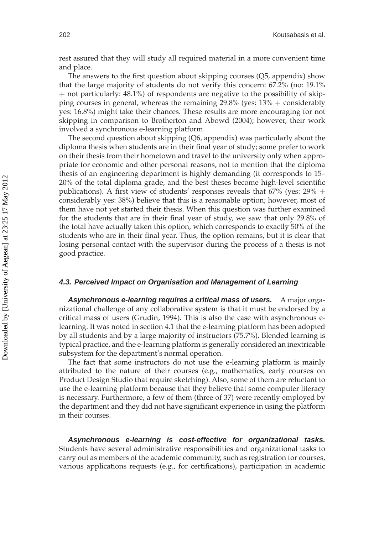rest assured that they will study all required material in a more convenient time and place.

The answers to the first question about skipping courses (Q5, appendix) show that the large majority of students do not verify this concern: 67.2% (no: 19.1%  $+$  not particularly: 48.1%) of respondents are negative to the possibility of skipping courses in general, whereas the remaining 29.8% (yes: 13% + considerably yes: 16.8%) might take their chances. These results are more encouraging for not skipping in comparison to Brotherton and Abowd (2004); however, their work involved a synchronous e-learning platform.

The second question about skipping (Q6, appendix) was particularly about the diploma thesis when students are in their final year of study; some prefer to work on their thesis from their hometown and travel to the university only when appropriate for economic and other personal reasons, not to mention that the diploma thesis of an engineering department is highly demanding (it corresponds to 15– 20% of the total diploma grade, and the best theses become high-level scientific publications). A first view of students' responses reveals that 67% (yes: 29% + considerably yes: 38%) believe that this is a reasonable option; however, most of them have not yet started their thesis. When this question was further examined for the students that are in their final year of study, we saw that only 29.8% of the total have actually taken this option, which corresponds to exactly 50% of the students who are in their final year. Thus, the option remains, but it is clear that losing personal contact with the supervisor during the process of a thesis is not good practice.

#### *4.3. Perceived Impact on Organisation and Management of Learning*

*Asynchronous e-learning requires a critical mass of users.* A major organizational challenge of any collaborative system is that it must be endorsed by a critical mass of users (Grudin, 1994). This is also the case with asynchronous elearning. It was noted in section 4.1 that the e-learning platform has been adopted by all students and by a large majority of instructors (75.7%). Blended learning is typical practice, and the e-learning platform is generally considered an inextricable subsystem for the department's normal operation.

The fact that some instructors do not use the e-learning platform is mainly attributed to the nature of their courses (e.g., mathematics, early courses on Product Design Studio that require sketching). Also, some of them are reluctant to use the e-learning platform because that they believe that some computer literacy is necessary. Furthermore, a few of them (three of 37) were recently employed by the department and they did not have significant experience in using the platform in their courses.

*Asynchronous e-learning is cost-effective for organizational tasks.* Students have several administrative responsibilities and organizational tasks to carry out as members of the academic community, such as registration for courses, various applications requests (e.g., for certifications), participation in academic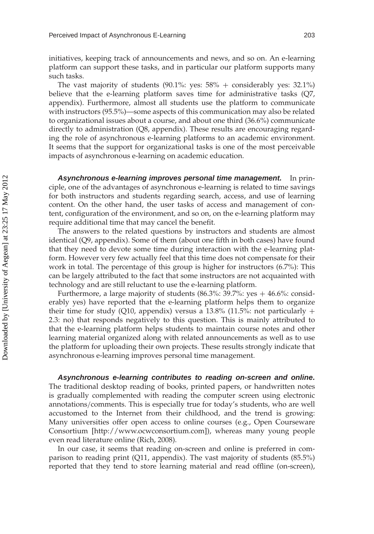initiatives, keeping track of announcements and news, and so on. An e-learning platform can support these tasks, and in particular our platform supports many such tasks.

The vast majority of students (90.1%: yes:  $58\%$  + considerably yes: 32.1%) believe that the e-learning platform saves time for administrative tasks (Q7, appendix). Furthermore, almost all students use the platform to communicate with instructors (95.5%)—some aspects of this communication may also be related to organizational issues about a course, and about one third (36.6%) communicate directly to administration (Q8, appendix). These results are encouraging regarding the role of asynchronous e-learning platforms to an academic environment. It seems that the support for organizational tasks is one of the most perceivable impacts of asynchronous e-learning on academic education.

*Asynchronous e-learning improves personal time management.* In principle, one of the advantages of asynchronous e-learning is related to time savings for both instructors and students regarding search, access, and use of learning content. On the other hand, the user tasks of access and management of content, configuration of the environment, and so on, on the e-learning platform may require additional time that may cancel the benefit.

The answers to the related questions by instructors and students are almost identical (Q9, appendix). Some of them (about one fifth in both cases) have found that they need to devote some time during interaction with the e-learning platform. However very few actually feel that this time does not compensate for their work in total. The percentage of this group is higher for instructors (6.7%): This can be largely attributed to the fact that some instructors are not acquainted with technology and are still reluctant to use the e-learning platform.

Furthermore, a large majority of students (86.3%: 39.7%: yes + 46.6%: considerably yes) have reported that the e-learning platform helps them to organize their time for study (Q10, appendix) versus a 13.8% (11.5%: not particularly  $+$ 2.3: no) that responds negatively to this question. This is mainly attributed to that the e-learning platform helps students to maintain course notes and other learning material organized along with related announcements as well as to use the platform for uploading their own projects. These results strongly indicate that asynchronous e-learning improves personal time management.

*Asynchronous e-learning contributes to reading on-screen and online.* The traditional desktop reading of books, printed papers, or handwritten notes is gradually complemented with reading the computer screen using electronic annotations*/*comments. This is especially true for today's students, who are well accustomed to the Internet from their childhood, and the trend is growing: Many universities offer open access to online courses (e.g., Open Courseware Consortium [http://www.ocwconsortium.com]), whereas many young people even read literature online (Rich, 2008).

In our case, it seems that reading on-screen and online is preferred in comparison to reading print (Q11, appendix). The vast majority of students (85.5%) reported that they tend to store learning material and read offline (on-screen),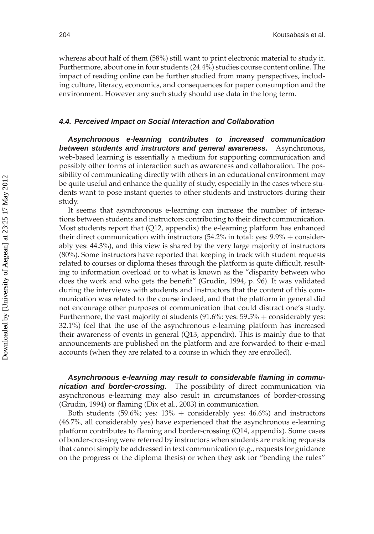whereas about half of them (58%) still want to print electronic material to study it. Furthermore, about one in four students (24.4%) studies course content online. The impact of reading online can be further studied from many perspectives, including culture, literacy, economics, and consequences for paper consumption and the environment. However any such study should use data in the long term.

#### *4.4. Perceived Impact on Social Interaction and Collaboration*

*Asynchronous e-learning contributes to increased communication between students and instructors and general awareness.* Asynchronous, web-based learning is essentially a medium for supporting communication and possibly other forms of interaction such as awareness and collaboration. The possibility of communicating directly with others in an educational environment may be quite useful and enhance the quality of study, especially in the cases where students want to pose instant queries to other students and instructors during their study.

It seems that asynchronous e-learning can increase the number of interactions between students and instructors contributing to their direct communication. Most students report that (Q12, appendix) the e-learning platform has enhanced their direct communication with instructors  $(54.2\%$  in total: yes:  $9.9\%$  + considerably yes: 44.3%), and this view is shared by the very large majority of instructors (80%). Some instructors have reported that keeping in track with student requests related to courses or diploma theses through the platform is quite difficult, resulting to information overload or to what is known as the "disparity between who does the work and who gets the benefit" (Grudin, 1994, p. 96). It was validated during the interviews with students and instructors that the content of this communication was related to the course indeed, and that the platform in general did not encourage other purposes of communication that could distract one's study. Furthermore, the vast majority of students (91.6%: yes: 59.5% + considerably yes: 32.1%) feel that the use of the asynchronous e-learning platform has increased their awareness of events in general (Q13, appendix). This is mainly due to that announcements are published on the platform and are forwarded to their e-mail accounts (when they are related to a course in which they are enrolled).

*Asynchronous e-learning may result to considerable flaming in communication and border-crossing.* The possibility of direct communication via asynchronous e-learning may also result in circumstances of border-crossing (Grudin, 1994) or flaming (Dix et al., 2003) in communication.

Both students (59.6%; yes: 13% + considerably yes: 46.6%) and instructors (46.7%, all considerably yes) have experienced that the asynchronous e-learning platform contributes to flaming and border-crossing (Q14, appendix). Some cases of border-crossing were referred by instructors when students are making requests that cannot simply be addressed in text communication (e.g., requests for guidance on the progress of the diploma thesis) or when they ask for "bending the rules"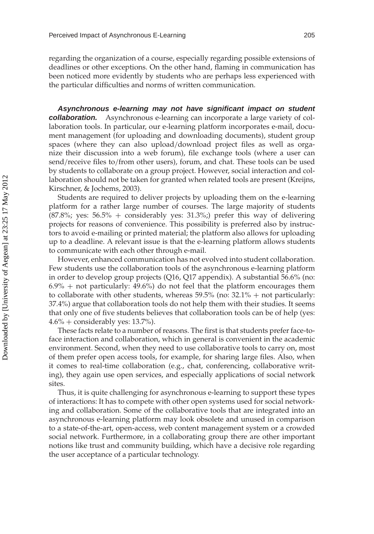regarding the organization of a course, especially regarding possible extensions of deadlines or other exceptions. On the other hand, flaming in communication has been noticed more evidently by students who are perhaps less experienced with the particular difficulties and norms of written communication.

*Asynchronous e-learning may not have significant impact on student collaboration.* Asynchronous e-learning can incorporate a large variety of collaboration tools. In particular, our e-learning platform incorporates e-mail, document management (for uploading and downloading documents), student group spaces (where they can also upload*/*download project files as well as organize their discussion into a web forum), file exchange tools (where a user can send*/*receive files to*/*from other users), forum, and chat. These tools can be used by students to collaborate on a group project. However, social interaction and collaboration should not be taken for granted when related tools are present (Kreijns, Kirschner, & Jochems, 2003).

Students are required to deliver projects by uploading them on the e-learning platform for a rather large number of courses. The large majority of students (87.8%; yes: 56.5% + considerably yes: 31.3%;) prefer this way of delivering projects for reasons of convenience. This possibility is preferred also by instructors to avoid e-mailing or printed material; the platform also allows for uploading up to a deadline. A relevant issue is that the e-learning platform allows students to communicate with each other through e-mail.

However, enhanced communication has not evolved into student collaboration. Few students use the collaboration tools of the asynchronous e-learning platform in order to develop group projects (Q16, Q17 appendix). A substantial 56.6% (no:  $6.9\%$  + not particularly: 49.6%) do not feel that the platform encourages them to collaborate with other students, whereas  $59.5\%$  (no:  $32.1\%$  + not particularly: 37.4%) argue that collaboration tools do not help them with their studies. It seems that only one of five students believes that collaboration tools can be of help (yes:  $4.6\%$  + considerably yes: 13.7%).

These facts relate to a number of reasons. The first is that students prefer face-toface interaction and collaboration, which in general is convenient in the academic environment. Second, when they need to use collaborative tools to carry on, most of them prefer open access tools, for example, for sharing large files. Also, when it comes to real-time collaboration (e.g., chat, conferencing, collaborative writing), they again use open services, and especially applications of social network sites.

Thus, it is quite challenging for asynchronous e-learning to support these types of interactions: It has to compete with other open systems used for social networking and collaboration. Some of the collaborative tools that are integrated into an asynchronous e-learning platform may look obsolete and unused in comparison to a state-of-the-art, open-access, web content management system or a crowded social network. Furthermore, in a collaborating group there are other important notions like trust and community building, which have a decisive role regarding the user acceptance of a particular technology.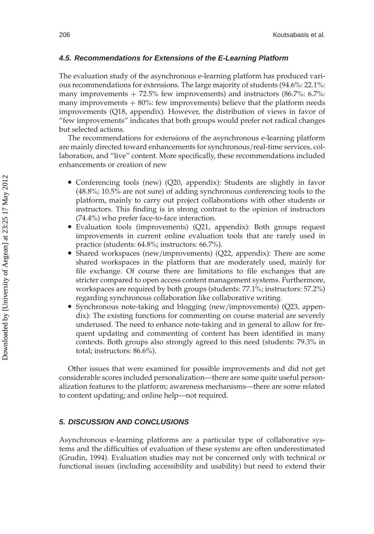#### *4.5. Recommendations for Extensions of the E-Learning Platform*

The evaluation study of the asynchronous e-learning platform has produced various recommendations for extensions. The large majority of students (94.6%: 22.1%: many improvements  $+ 72.5\%$  few improvements) and instructors (86.7%: 6.7%: many improvements  $+80\%$ : few improvements) believe that the platform needs improvements (Q18, appendix). However, the distribution of views in favor of "few improvements" indicates that both groups would prefer not radical changes but selected actions.

The recommendations for extensions of the asynchronous e-learning platform are mainly directed toward enhancements for synchronous*/*real-time services, collaboration, and "live" content. More specifically, these recommendations included enhancements or creation of new

- Conferencing tools (new) (Q20, appendix): Students are slightly in favor (48.8%; 10.5% are not sure) of adding synchronous conferencing tools to the platform, mainly to carry out project collaborations with other students or instructors. This finding is in strong contrast to the opinion of instructors (74.4%) who prefer face-to-face interaction.
- Evaluation tools (improvements) (Q21, appendix): Both groups request improvements in current online evaluation tools that are rarely used in practice (students: 64.8%; instructors: 66.7%).
- Shared workspaces (new/improvements) (Q22, appendix): There are some shared workspaces in the platform that are moderately used, mainly for file exchange. Of course there are limitations to file exchanges that are stricter compared to open access content management systems. Furthermore, workspaces are required by both groups (students: 77.1%; instructors: 57.2%) regarding synchronous collaboration like collaborative writing.
- Synchronous note-taking and blogging (new*/*improvements) (Q23, appendix): The existing functions for commenting on course material are severely underused. The need to enhance note-taking and in general to allow for frequent updating and commenting of content has been identified in many contexts. Both groups also strongly agreed to this need (students: 79.3% in total; instructors: 86.6%).

Other issues that were examined for possible improvements and did not get considerable scores included personalization—there are some quite useful personalization features to the platform; awareness mechanisms—there are some related to content updating; and online help—not required.

#### *5. DISCUSSION AND CONCLUSIONS*

Asynchronous e-learning platforms are a particular type of collaborative systems and the difficulties of evaluation of these systems are often underestimated (Grudin, 1994). Evaluation studies may not be concerned only with technical or functional issues (including accessibility and usability) but need to extend their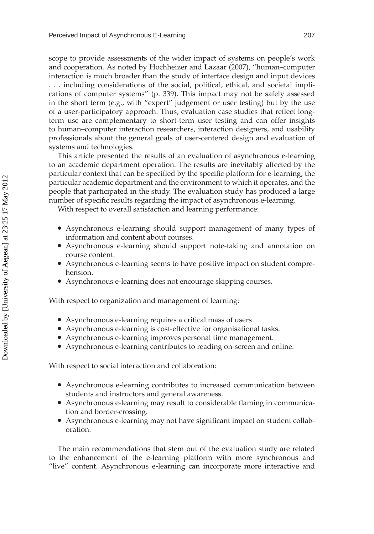scope to provide assessments of the wider impact of systems on people's work and cooperation. As noted by Hochheizer and Lazaar (2007), "human–computer interaction is much broader than the study of interface design and input devices . . . including considerations of the social, political, ethical, and societal implications of computer systems" (p. 339). This impact may not be safely assessed in the short term (e.g., with "expert" judgement or user testing) but by the use of a user-participatory approach. Thus, evaluation case studies that reflect longterm use are complementary to short-term user testing and can offer insights to human–computer interaction researchers, interaction designers, and usability professionals about the general goals of user-centered design and evaluation of systems and technologies.

This article presented the results of an evaluation of asynchronous e-learning to an academic department operation. The results are inevitably affected by the particular context that can be specified by the specific platform for e-learning, the particular academic department and the environment to which it operates, and the people that participated in the study. The evaluation study has produced a large number of specific results regarding the impact of asynchronous e-learning.

With respect to overall satisfaction and learning performance:

- Asynchronous e-learning should support management of many types of information and content about courses.
- Asynchronous e-learning should support note-taking and annotation on course content.
- Asynchronous e-learning seems to have positive impact on student comprehension.
- Asynchronous e-learning does not encourage skipping courses.

With respect to organization and management of learning:

- Asynchronous e-learning requires a critical mass of users
- Asynchronous e-learning is cost-effective for organisational tasks.
- Asynchronous e-learning improves personal time management.
- Asynchronous e-learning contributes to reading on-screen and online.

With respect to social interaction and collaboration:

- Asynchronous e-learning contributes to increased communication between students and instructors and general awareness.
- Asynchronous e-learning may result to considerable flaming in communication and border-crossing.
- Asynchronous e-learning may not have significant impact on student collaboration.

The main recommendations that stem out of the evaluation study are related to the enhancement of the e-learning platform with more synchronous and "live" content. Asynchronous e-learning can incorporate more interactive and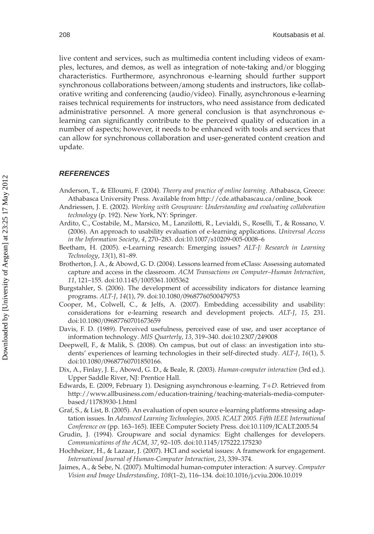live content and services, such as multimedia content including videos of examples, lectures, and demos, as well as integration of note-taking and*/*or blogging characteristics. Furthermore, asynchronous e-learning should further support synchronous collaborations between*/*among students and instructors, like collaborative writing and conferencing (audio*/*video). Finally, asynchronous e-learning raises technical requirements for instructors, who need assistance from dedicated administrative personnel. A more general conclusion is that asynchronous elearning can significantly contribute to the perceived quality of education in a number of aspects; however, it needs to be enhanced with tools and services that can allow for synchronous collaboration and user-generated content creation and update.

#### *REFERENCES*

- Anderson, T., & Elloumi, F. (2004). *Theory and practice of online learning*. Athabasca, Greece: Athabasca University Press. Available from http://cde.athabascau.ca/online\_book
- Andriessen, J. E. (2002). *Working with Groupware: Understanding and evaluating collaboration technology* (p. 192). New York, NY: Springer.
- Ardito, C., Costabile, M., Marsico, M., Lanzilotti, R., Levialdi, S., Roselli, T., & Rossano, V. (2006). An approach to usability evaluation of e-learning applications. *Universal Access in the Information Society*, *4*, 270–283. doi:10.1007*/*s10209-005-0008–6
- Beetham, H. (2005). e-Learning research: Emerging issues? *ALT-J: Research in Learning Technology*, *13*(1), 81–89.
- Brotherton, J. A., & Abowd, G. D. (2004). Lessons learned from eClass: Assessing automated capture and access in the classroom. *ACM Transactions on Computer–Human Interaction*, *11*, 121–155. doi:10.1145*/*1005361.1005362
- Burgstahler, S. (2006). The development of accessibility indicators for distance learning programs. *ALT-J*, *14*(1), 79. doi:10.1080*/*09687760500479753
- Cooper, M., Colwell, C., & Jelfs, A. (2007). Embedding accessibility and usability: considerations for e-learning research and development projects. *ALT-J*, *15*, 231. doi:10.1080*/*09687760701673659
- Davis, F. D. (1989). Perceived usefulness, perceived ease of use, and user acceptance of information technology. *MIS Quarterly*, *13*, 319–340. doi:10.2307*/*249008
- Deepwell, F., & Malik, S. (2008). On campus, but out of class: an investigation into students' experiences of learning technologies in their self-directed study. *ALT-J*, *16*(1), 5. doi:10.1080*/*09687760701850166.
- Dix, A., Finlay, J. E., Abowd, G. D., & Beale, R. (2003). *Human-computer interaction* (3rd ed.). Upper Saddle River, NJ: Prentice Hall.
- Edwards, E. (2009, February 1). Designing asynchronous e-learning. *T*+*D*. Retrieved from http://www.allbusiness.com/education-training/teaching-materials-media-computerbased/11783930-1.html
- Graf, S., & List, B. (2005). An evaluation of open source e-learning platforms stressing adaptation issues. In *Advanced Learning Technologies, 2005. ICALT 2005. Fifth IEEE International Conference on* (pp. 163–165). IEEE Computer Society Press. doi:10.1109*/*ICALT.2005.54
- Grudin, J. (1994). Groupware and social dynamics: Eight challenges for developers. *Communications of the ACM*, *37*, 92–105. doi:10.1145*/*175222.175230
- Hochheizer, H., & Lazaar, J. (2007). HCI and societal issues: A framework for engagement. *International Journal of Human-Computer Interaction*, *23*, 339–374.
- Jaimes, A., & Sebe, N. (2007). Multimodal human-computer interaction: A survey. *Computer Vision and Image Understanding*, *108*(1–2), 116–134. doi:10.1016*/*j.cviu.2006.10.019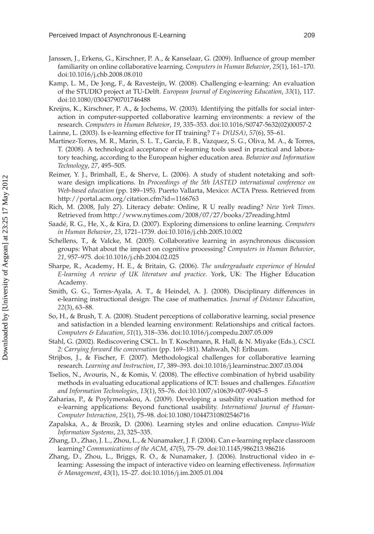- Janssen, J., Erkens, G., Kirschner, P. A., & Kanselaar, G. (2009). Influence of group member familiarity on online collaborative learning. *Computers in Human Behavior*, *25*(1), 161–170. doi:10.1016*/*j.chb.2008.08.010
- Kamp, L. M., De Jong, F., & Ravesteijn, W. (2008). Challenging e-learning: An evaluation of the STUDIO project at TU-Delft. *European Journal of Engineering Education*, *33*(1), 117. doi:10.1080*/*03043790701746488
- Kreijns, K., Kirschner, P. A., & Jochems, W. (2003). Identifying the pitfalls for social interaction in computer-supported collaborative learning environments: a review of the research. *Computers in Human Behavior*, *19*, 335–353. doi:10.1016*/*S0747-5632(02)00057-2
- Lainne, L. (2003). Is e-learning effective for IT training? *T*+ *D(USA)*, *57*(6), 55–61.
- Martinez-Torres, M. R., Marin, S. L. T., Garcia, F. B., Vazquez, S. G., Oliva, M. A., & Torres, T. (2008). A technological acceptance of e-learning tools used in practical and laboratory teaching, according to the European higher education area. *Behavior and Information Technology*, *27*, 495–505.
- Reimer, Y. J., Brimhall, E., & Sherve, L. (2006). A study of student notetaking and software design implications. In *Proceedings of the 5th IASTED international conference on Web-based education* (pp. 189–195). Puerto Vallarta, Mexico: ACTA Press. Retrieved from http://portal.acm.org/citation.cfm?id=1166763
- Rich, M. (2008, July 27). Literacy debate: Online, R U really reading? *New York Times*. Retrieved from http://www.nytimes.com/2008/07/27/books/27reading.html
- Saadé, R. G., He, X., & Kira, D. (2007). Exploring dimensions to online learning. *Computers in Human Behavior*, *23*, 1721–1739. doi:10.1016*/*j.chb.2005.10.002
- Schellens, T., & Valcke, M. (2005). Collaborative learning in asynchronous discussion groups: What about the impact on cognitive processing? *Computers in Human Behavior*, *21*, 957–975. doi:10.1016*/*j.chb.2004.02.025
- Sharpe, R., Academy, H. E., & Britain, G. (2006). *The undergraduate experience of blended E-learning A review of UK literature and practice*. York, UK: The Higher Education Academy.
- Smith, G. G., Torres-Ayala, A. T., & Heindel, A. J. (2008). Disciplinary differences in e-learning instructional design: The case of mathematics. *Journal of Distance Education*, *22*(3), 63–88.
- So, H., & Brush, T. A. (2008). Student perceptions of collaborative learning, social presence and satisfaction in a blended learning environment: Relationships and critical factors. *Computers & Education*, *51*(1), 318–336. doi:10.1016*/*j.compedu.2007.05.009
- Stahl, G. (2002). Rediscovering CSCL. In T. Koschmann, R. Hall, & N. Miyake (Eds.), *CSCL 2: Carrying forward the conversation* (pp. 169–181). Mahwah, NJ: Erlbaum.
- Strijbos, J., & Fischer, F. (2007). Methodological challenges for collaborative learning research. *Learning and Instruction*, *17*, 389–393. doi:10.1016*/*j.learninstruc.2007.03.004
- Tselios, N., Avouris, N., & Komis, V. (2008). The effective combination of hybrid usability methods in evaluating educational applications of ICT: Issues and challenges. *Education and Information Technologies*, *13*(1), 55–76. doi:10.1007*/*s10639-007-9045–5
- Zaharias, P., & Poylymenakou, A. (2009). Developing a usability evaluation method for e-learning applications: Beyond functional usability. *International Journal of Human-Computer Interaction*, *25*(1), 75–98. doi:10.1080*/*10447310802546716
- Zapalska, A., & Brozik, D. (2006). Learning styles and online education. *Campus-Wide Information Systems*, *23*, 325–335.
- Zhang, D., Zhao, J. L., Zhou, L., & Nunamaker, J. F. (2004). Can e-learning replace classroom learning? *Communications of the ACM*, *47*(5), 75–79. doi:10.1145*/*986213.986216
- Zhang, D., Zhou, L., Briggs, R. O., & Nunamaker, J. (2006). Instructional video in elearning: Assessing the impact of interactive video on learning effectiveness. *Information & Management*, *43*(1), 15–27. doi:10.1016*/*j.im.2005.01.004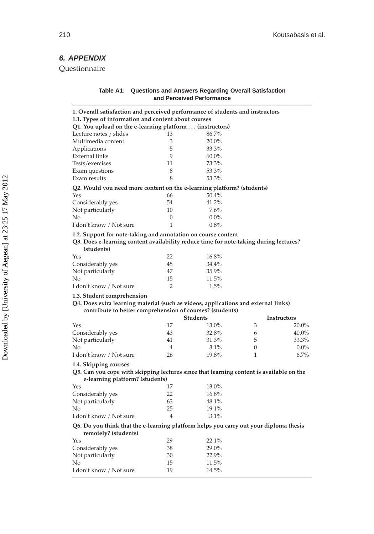### *6. APPENDIX*

Questionnaire

**Table A1: Questions and Answers Regarding Overall Satisfaction and Perceived Performance**

| 1. Overall satisfaction and perceived performance of students and instructors           |                |                 |              |             |
|-----------------------------------------------------------------------------------------|----------------|-----------------|--------------|-------------|
| 1.1. Types of information and content about courses                                     |                |                 |              |             |
| Q1. You upload on the e-learning platform (instructors)                                 |                |                 |              |             |
| Lecture notes / slides                                                                  | 13             | 86.7%           |              |             |
| Multimedia content                                                                      | 3              | 20.0%           |              |             |
| Applications                                                                            | 5              | 33.3%           |              |             |
| External links                                                                          | 9              | $60.0\%$        |              |             |
| Tests/exercises                                                                         | 11             | 73.3%           |              |             |
| Exam questions                                                                          | 8              | 53.3%           |              |             |
| Exam results                                                                            | 8              | 53.3%           |              |             |
| Q2. Would you need more content on the e-learning platform? (students)                  |                |                 |              |             |
| Yes                                                                                     | 66             | 50.4%           |              |             |
| Considerably yes                                                                        | 54             | 41.2%           |              |             |
| Not particularly                                                                        | 10             | 7.6%            |              |             |
| No                                                                                      | $\theta$       | 0.0%            |              |             |
| I don't know / Not sure                                                                 | 1              | 0.8%            |              |             |
| 1.2. Support for note-taking and annotation on course content                           |                |                 |              |             |
| Q3. Does e-learning content availability reduce time for note-taking during lectures?   |                |                 |              |             |
| (students)                                                                              |                |                 |              |             |
| Yes                                                                                     | 22             | 16.8%           |              |             |
| Considerably yes                                                                        | 45             | 34.4%           |              |             |
| Not particularly                                                                        | 47             | 35.9%           |              |             |
| No                                                                                      | 15             | 11.5%           |              |             |
| I don't know / Not sure                                                                 | 2              | 1.5%            |              |             |
|                                                                                         |                |                 |              |             |
| 1.3. Student comprehension                                                              |                |                 |              |             |
| Q4. Does extra learning material (such as videos, applications and external links)      |                |                 |              |             |
| contribute to better comprehension of courses? (students)                               |                |                 |              |             |
|                                                                                         |                | <b>Students</b> |              | Instructors |
| Yes                                                                                     | 17             | 13.0%           | 3            | 20.0%       |
| Considerably yes                                                                        | 43             | 32.8%           | 6            | 40.0%       |
| Not particularly                                                                        | 41             | 31.3%           | 5            | 33.3%       |
| No                                                                                      | 4              | 3.1%            | 0            | 0.0%        |
| I don't know / Not sure                                                                 | 26             | 19.8%           | $\mathbf{1}$ | 6.7%        |
| 1.4. Skipping courses                                                                   |                |                 |              |             |
| Q5. Can you cope with skipping lectures since that learning content is available on the |                |                 |              |             |
| e-learning platform? (students)                                                         |                |                 |              |             |
| Yes                                                                                     | 17             | 13.0%           |              |             |
| Considerably yes                                                                        | 22             | 16.8%           |              |             |
| Not particularly                                                                        | 63             | 48.1%           |              |             |
| No                                                                                      | 25             | 19.1%           |              |             |
| I don't know / Not sure                                                                 | $\overline{4}$ | 3.1%            |              |             |
| Q6. Do you think that the e-learning platform helps you carry out your diploma thesis   |                |                 |              |             |
| remotely? (students)                                                                    |                |                 |              |             |
| Yes                                                                                     | 29             | 22.1%           |              |             |
| Considerably yes                                                                        | 38             | $29.0\%$        |              |             |
| Not particularly                                                                        | 30             | 22.9%           |              |             |
| No                                                                                      | 15             | 11.5%           |              |             |
| I don't know / Not sure                                                                 | 19             | 14.5%           |              |             |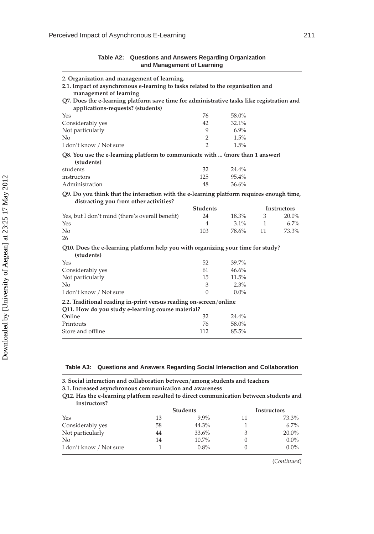| 2. Organization and management of learning.<br>2.1. Impact of asynchronous e-learning to tasks related to the organisation and<br>management of learning |                 |         |              |                    |
|----------------------------------------------------------------------------------------------------------------------------------------------------------|-----------------|---------|--------------|--------------------|
| Q7. Does the e-learning platform save time for administrative tasks like registration and                                                                |                 |         |              |                    |
|                                                                                                                                                          |                 |         |              |                    |
| applications-requests? (students)                                                                                                                        |                 |         |              |                    |
| Yes                                                                                                                                                      | 76              | 58.0%   |              |                    |
| Considerably yes                                                                                                                                         | 42              | 32.1%   |              |                    |
| Not particularly                                                                                                                                         | 9               | 6.9%    |              |                    |
| No                                                                                                                                                       | $\overline{2}$  | 1.5%    |              |                    |
| I don't know / Not sure                                                                                                                                  | $\overline{2}$  | 1.5%    |              |                    |
| Q8. You use the e-learning platform to communicate with  (more than 1 answer)<br>(students)                                                              |                 |         |              |                    |
| students                                                                                                                                                 | 32              | 24.4%   |              |                    |
| instructors                                                                                                                                              | 125             | 95.4%   |              |                    |
| Administration                                                                                                                                           | 48              | 36.6%   |              |                    |
| Q9. Do you think that the interaction with the e-learning platform requires enough time,<br>distracting you from other activities?                       |                 |         |              |                    |
|                                                                                                                                                          | <b>Students</b> |         |              | <b>Instructors</b> |
| Yes, but I don't mind (there's overall benefit)                                                                                                          | 24              | 18.3%   | 3            | 20.0%              |
| Yes                                                                                                                                                      | 4               | 3.1%    | $\mathbf{1}$ | 6.7%               |
| No                                                                                                                                                       | 103             | 78.6%   | 11           | 73.3%              |
| 26                                                                                                                                                       |                 |         |              |                    |
| Q10. Does the e-learning platform help you with organizing your time for study?<br>(students)                                                            |                 |         |              |                    |
| Yes                                                                                                                                                      | 52              | 39.7%   |              |                    |
| Considerably yes                                                                                                                                         | 61              | 46.6%   |              |                    |
| Not particularly                                                                                                                                         | 15              | 11.5%   |              |                    |
| No                                                                                                                                                       | 3               | 2.3%    |              |                    |
| I don't know / Not sure                                                                                                                                  | $\theta$        | $0.0\%$ |              |                    |
| 2.2. Traditional reading in-print versus reading on-screen/online                                                                                        |                 |         |              |                    |
| Q11. How do you study e-learning course material?                                                                                                        |                 |         |              |                    |
| Online                                                                                                                                                   | 32              | 24.4%   |              |                    |
| Printouts                                                                                                                                                | 76              | 58.0%   |              |                    |
| Store and offline                                                                                                                                        | 112             | 85.5%   |              |                    |

#### **Table A2: Questions and Answers Regarding Organization and Management of Learning**

#### **Table A3: Questions and Answers Regarding Social Interaction and Collaboration**

**3. Social interaction and collaboration between***/***among students and teachers 3.1. Increased asynchronous communication and awareness Q12. Has the e-learning platform resulted to direct communication between students and instructors?**

|                         | <b>Students</b> |         | Instructors |          |
|-------------------------|-----------------|---------|-------------|----------|
| Yes                     | 13              | $9.9\%$ |             | 73.3%    |
| Considerably yes        | 58              | 44.3%   |             | $6.7\%$  |
| Not particularly        | 44              | 33.6%   |             | $20.0\%$ |
| N <sub>o</sub>          | 14              | 10.7%   |             | $0.0\%$  |
| I don't know / Not sure |                 | 0.8%    |             | $0.0\%$  |

Downloaded by [University of Aegean] at 23:25 17 May 2012 Downloaded by [University of Aegean] at 23:25 17 May 2012

(*Continued*)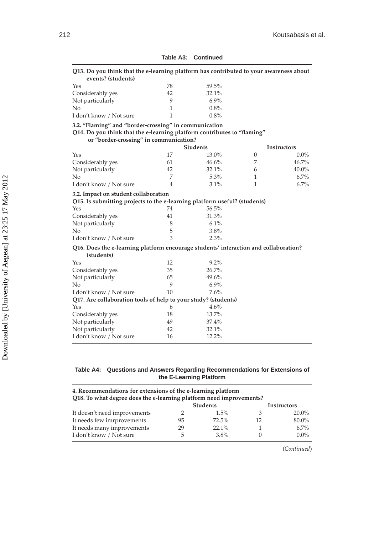| Q13. Do you think that the e-learning platform has contributed to your awareness about |    |                 |   |             |
|----------------------------------------------------------------------------------------|----|-----------------|---|-------------|
| events? (students)                                                                     |    |                 |   |             |
| Yes                                                                                    | 78 | 59.5%           |   |             |
| Considerably yes                                                                       | 42 | 32.1%           |   |             |
| Not particularly                                                                       | 9  | $6.9\%$         |   |             |
| No                                                                                     | 1  | 0.8%            |   |             |
| I don't know / Not sure                                                                | 1  | 0.8%            |   |             |
| 3.2. "Flaming" and "border-crossing" in communication                                  |    |                 |   |             |
| Q14. Do you think that the e-learning platform contributes to "flaming"                |    |                 |   |             |
| or "border-crossing" in communication?                                                 |    |                 |   |             |
|                                                                                        |    | <b>Students</b> |   | Instructors |
| Yes                                                                                    | 17 | 13.0%           | 0 | $0.0\%$     |
| Considerably yes                                                                       | 61 | 46.6%           | 7 | 46.7%       |
| Not particularly                                                                       | 42 | 32.1%           | 6 | 40.0%       |
| No                                                                                     | 7  | 5.3%            | 1 | $6.7\%$     |
| I don't know / Not sure                                                                | 4  | 3.1%            | 1 | 6.7%        |
| 3.2. Impact on student collaboration                                                   |    |                 |   |             |
| Q15. Is submitting projects to the e-learning platform useful? (students)              |    |                 |   |             |
| Yes                                                                                    | 74 | 56.5%           |   |             |
| Considerably yes                                                                       | 41 | 31.3%           |   |             |
| Not particularly                                                                       | 8  | 6.1%            |   |             |
| No                                                                                     | 5  | 3.8%            |   |             |
| I don't know / Not sure                                                                | 3  | 2.3%            |   |             |
| Q16. Does the e-learning platform encourage students' interaction and collaboration?   |    |                 |   |             |
| (students)                                                                             |    |                 |   |             |
| Yes                                                                                    | 12 | 9.2%            |   |             |
| Considerably yes                                                                       | 35 | 26.7%           |   |             |
| Not particularly                                                                       | 65 | 49.6%           |   |             |
| No                                                                                     | 9  | 6.9%            |   |             |
| I don't know / Not sure                                                                | 10 | 7.6%            |   |             |
| Q17. Are collaboration tools of help to your study? (students)                         |    |                 |   |             |
| Yes                                                                                    | 6  | 4.6%            |   |             |
| Considerably yes                                                                       | 18 | 13.7%           |   |             |
| Not particularly                                                                       | 49 | 37.4%           |   |             |
| Not particularly                                                                       | 42 | 32.1%           |   |             |
| I don't know / Not sure                                                                | 16 | 12.2%           |   |             |

#### **Table A3: Continued**

#### **Table A4: Questions and Answers Regarding Recommendations for Extensions of the E-Learning Platform**

| 4. Recommendations for extensions of the e-learning platform<br>Q18. To what degree does the e-learning platform need improvements? |    |                 |                  |                    |
|-------------------------------------------------------------------------------------------------------------------------------------|----|-----------------|------------------|--------------------|
|                                                                                                                                     |    | <b>Students</b> |                  | <b>Instructors</b> |
| It doesn't need improvements                                                                                                        |    | 1.5%            | З                | $20.0\%$           |
| It needs few imrprovements                                                                                                          | 95 | 72.5%           | 12               | $80.0\%$           |
| It needs many improvements                                                                                                          | 29 | 22.1%           |                  | $6.7\%$            |
| I don't know / Not sure                                                                                                             | 5  | $3.8\%$         | $\left( \right)$ | $0.0\%$            |

(*Continued*)